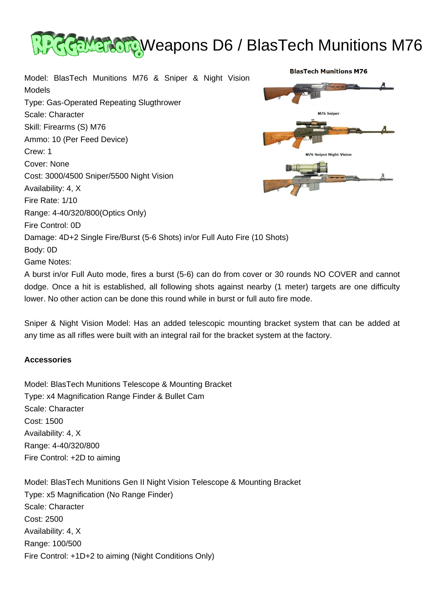

**BlasTech Munitions M76** 

M76 Sniper

**76 Sniper Night Vision** 

Model: BlasTech Munitions M76 & Sniper & Night Vision Models Type: Gas-Operated Repeating Slugthrower Scale: Character Skill: Firearms (S) M76 Ammo: 10 (Per Feed Device) Crew: 1 Cover: None Cost: 3000/4500 Sniper/5500 Night Vision Availability: 4, X Fire Rate: 1/10 Range: 4-40/320/800(Optics Only) Fire Control: 0D Damage: 4D+2 Single Fire/Burst (5-6 Shots) in/or Full Auto Fire (10 Shots) Body: 0D Game Notes:

A burst in/or Full Auto mode, fires a burst (5-6) can do from cover or 30 rounds NO COVER and cannot dodge. Once a hit is established, all following shots against nearby (1 meter) targets are one difficulty lower. No other action can be done this round while in burst or full auto fire mode.

Sniper & Night Vision Model: Has an added telescopic mounting bracket system that can be added at any time as all rifles were built with an integral rail for the bracket system at the factory.

## **Accessories**

Model: BlasTech Munitions Telescope & Mounting Bracket Type: x4 Magnification Range Finder & Bullet Cam Scale: Character Cost: 1500 Availability: 4, X Range: 4-40/320/800 Fire Control: +2D to aiming

Model: BlasTech Munitions Gen II Night Vision Telescope & Mounting Bracket Type: x5 Magnification (No Range Finder) Scale: Character Cost: 2500 Availability: 4, X Range: 100/500 Fire Control: +1D+2 to aiming (Night Conditions Only)